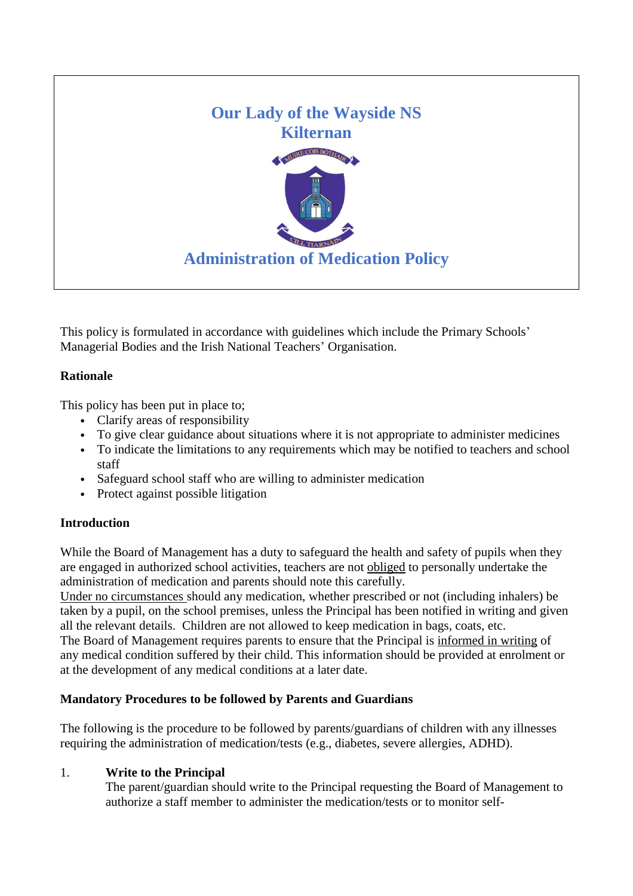

This policy is formulated in accordance with guidelines which include the Primary Schools' Managerial Bodies and the Irish National Teachers' Organisation.

# **Rationale**

This policy has been put in place to;

- Clarify areas of responsibility
- To give clear guidance about situations where it is not appropriate to administer medicines
- To indicate the limitations to any requirements which may be notified to teachers and school staff
- Safeguard school staff who are willing to administer medication
- Protect against possible litigation

# **Introduction**

While the Board of Management has a duty to safeguard the health and safety of pupils when they are engaged in authorized school activities, teachers are not obliged to personally undertake the administration of medication and parents should note this carefully.

Under no circumstances should any medication, whether prescribed or not (including inhalers) be taken by a pupil, on the school premises, unless the Principal has been notified in writing and given all the relevant details. Children are not allowed to keep medication in bags, coats, etc. The Board of Management requires parents to ensure that the Principal is informed in writing of any medical condition suffered by their child. This information should be provided at enrolment or

at the development of any medical conditions at a later date.

# **Mandatory Procedures to be followed by Parents and Guardians**

The following is the procedure to be followed by parents/guardians of children with any illnesses requiring the administration of medication/tests (e.g., diabetes, severe allergies, ADHD).

# 1. **Write to the Principal**

The parent/guardian should write to the Principal requesting the Board of Management to authorize a staff member to administer the medication/tests or to monitor self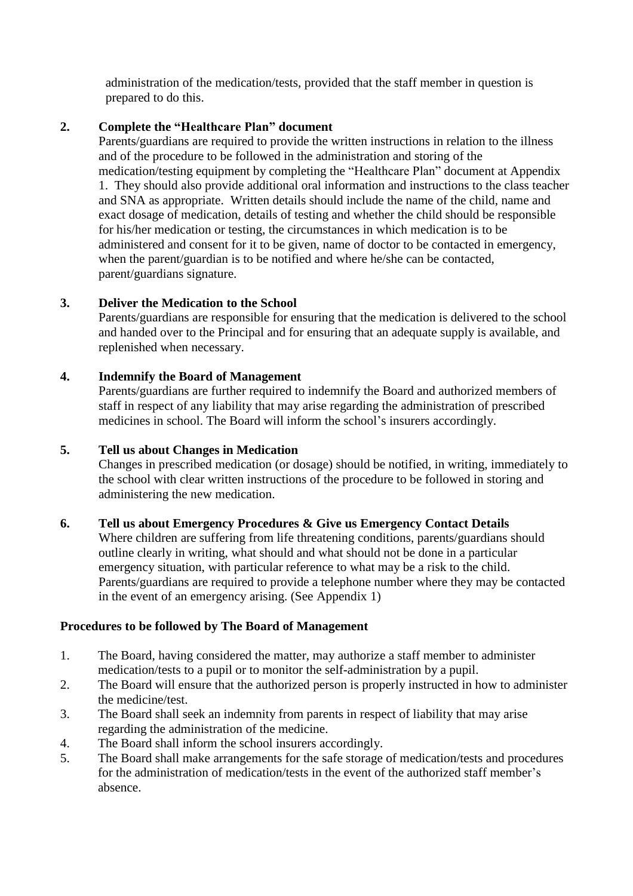administration of the medication/tests, provided that the staff member in question is prepared to do this.

## **2. Complete the "Healthcare Plan" document**

Parents/guardians are required to provide the written instructions in relation to the illness and of the procedure to be followed in the administration and storing of the medication/testing equipment by completing the "Healthcare Plan" document at Appendix 1. They should also provide additional oral information and instructions to the class teacher and SNA as appropriate. Written details should include the name of the child, name and exact dosage of medication, details of testing and whether the child should be responsible for his/her medication or testing, the circumstances in which medication is to be administered and consent for it to be given, name of doctor to be contacted in emergency, when the parent/guardian is to be notified and where he/she can be contacted, parent/guardians signature.

# **3. Deliver the Medication to the School**

Parents/guardians are responsible for ensuring that the medication is delivered to the school and handed over to the Principal and for ensuring that an adequate supply is available, and replenished when necessary.

#### **4. Indemnify the Board of Management**

Parents/guardians are further required to indemnify the Board and authorized members of staff in respect of any liability that may arise regarding the administration of prescribed medicines in school. The Board will inform the school's insurers accordingly.

## **5. Tell us about Changes in Medication**

Changes in prescribed medication (or dosage) should be notified, in writing, immediately to the school with clear written instructions of the procedure to be followed in storing and administering the new medication.

#### **6. Tell us about Emergency Procedures & Give us Emergency Contact Details**

Where children are suffering from life threatening conditions, parents/guardians should outline clearly in writing, what should and what should not be done in a particular emergency situation, with particular reference to what may be a risk to the child. Parents/guardians are required to provide a telephone number where they may be contacted in the event of an emergency arising. (See Appendix 1)

#### **Procedures to be followed by The Board of Management**

- 1. The Board, having considered the matter, may authorize a staff member to administer medication/tests to a pupil or to monitor the self-administration by a pupil.
- 2. The Board will ensure that the authorized person is properly instructed in how to administer the medicine/test.
- 3. The Board shall seek an indemnity from parents in respect of liability that may arise regarding the administration of the medicine.
- 4. The Board shall inform the school insurers accordingly.
- 5. The Board shall make arrangements for the safe storage of medication/tests and procedures for the administration of medication/tests in the event of the authorized staff member's absence.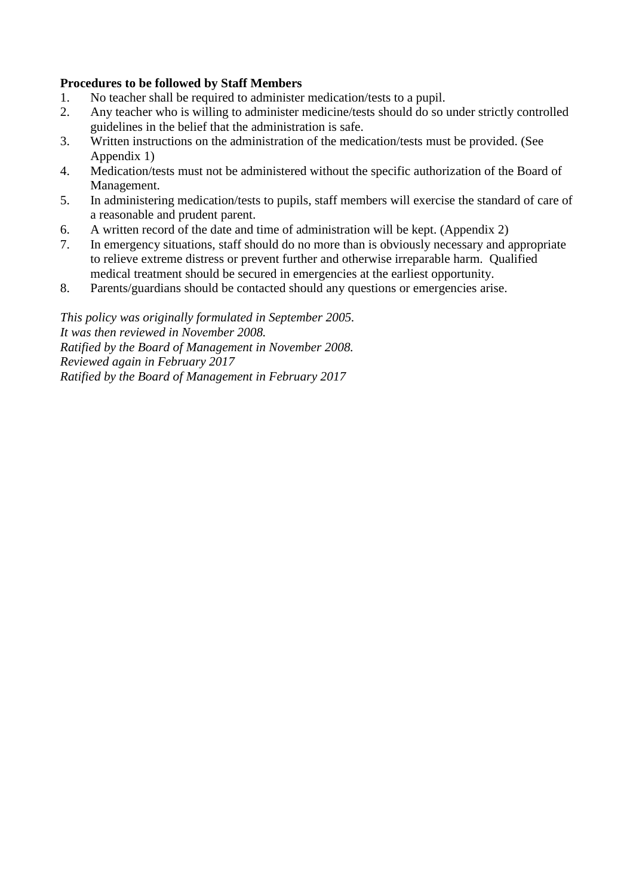# **Procedures to be followed by Staff Members**

- 1. No teacher shall be required to administer medication/tests to a pupil.<br>2. Any teacher who is willing to administer medicine/tests should do so u
- 2. Any teacher who is willing to administer medicine/tests should do so under strictly controlled guidelines in the belief that the administration is safe.
- 3. Written instructions on the administration of the medication/tests must be provided. (See Appendix 1)
- 4. Medication/tests must not be administered without the specific authorization of the Board of Management.
- 5. In administering medication/tests to pupils, staff members will exercise the standard of care of a reasonable and prudent parent.
- 6. A written record of the date and time of administration will be kept. (Appendix 2)<br>7. In emergency situations, staff should do no more than is obviously necessary and a
- In emergency situations, staff should do no more than is obviously necessary and appropriate to relieve extreme distress or prevent further and otherwise irreparable harm. Qualified medical treatment should be secured in emergencies at the earliest opportunity.
- 8. Parents/guardians should be contacted should any questions or emergencies arise.

*This policy was originally formulated in September 2005. It was then reviewed in November 2008. Ratified by the Board of Management in November 2008. Reviewed again in February 2017 Ratified by the Board of Management in February 2017*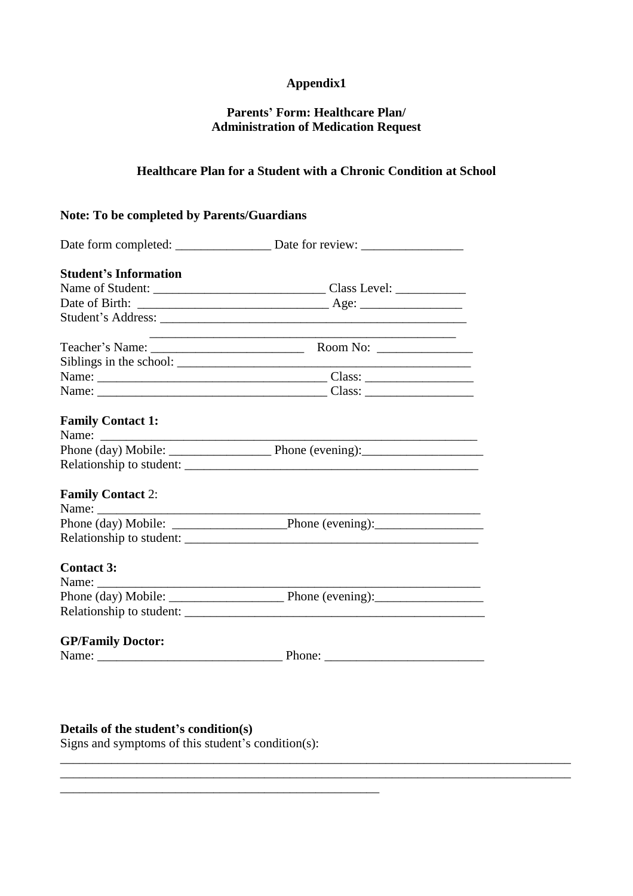# **Appendix1**

# **Parents' Form: Healthcare Plan/ Administration of Medication Request**

# **Healthcare Plan for a Student with a Chronic Condition at School**

# **Note: To be completed by Parents/Guardians**

| <b>Student's Information</b> |                                                                            |  |  |  |  |
|------------------------------|----------------------------------------------------------------------------|--|--|--|--|
|                              |                                                                            |  |  |  |  |
|                              |                                                                            |  |  |  |  |
|                              |                                                                            |  |  |  |  |
|                              | the control of the control of the control of the control of the control of |  |  |  |  |
|                              |                                                                            |  |  |  |  |
|                              |                                                                            |  |  |  |  |
|                              |                                                                            |  |  |  |  |
| <b>Family Contact 1:</b>     |                                                                            |  |  |  |  |
|                              |                                                                            |  |  |  |  |
|                              |                                                                            |  |  |  |  |
| <b>Family Contact 2:</b>     |                                                                            |  |  |  |  |
|                              |                                                                            |  |  |  |  |
|                              |                                                                            |  |  |  |  |
| <b>Contact 3:</b>            |                                                                            |  |  |  |  |
| Name:                        |                                                                            |  |  |  |  |
|                              |                                                                            |  |  |  |  |
|                              |                                                                            |  |  |  |  |
| <b>GP/Family Doctor:</b>     |                                                                            |  |  |  |  |
|                              |                                                                            |  |  |  |  |

\_\_\_\_\_\_\_\_\_\_\_\_\_\_\_\_\_\_\_\_\_\_\_\_\_\_\_\_\_\_\_\_\_\_\_\_\_\_\_\_\_\_\_\_\_\_\_\_\_\_\_\_\_\_\_\_\_\_\_\_\_\_\_\_\_\_\_\_\_\_\_\_\_\_\_\_\_\_\_\_

# **Details of the student's condition(s)**

Signs and symptoms of this student's condition(s):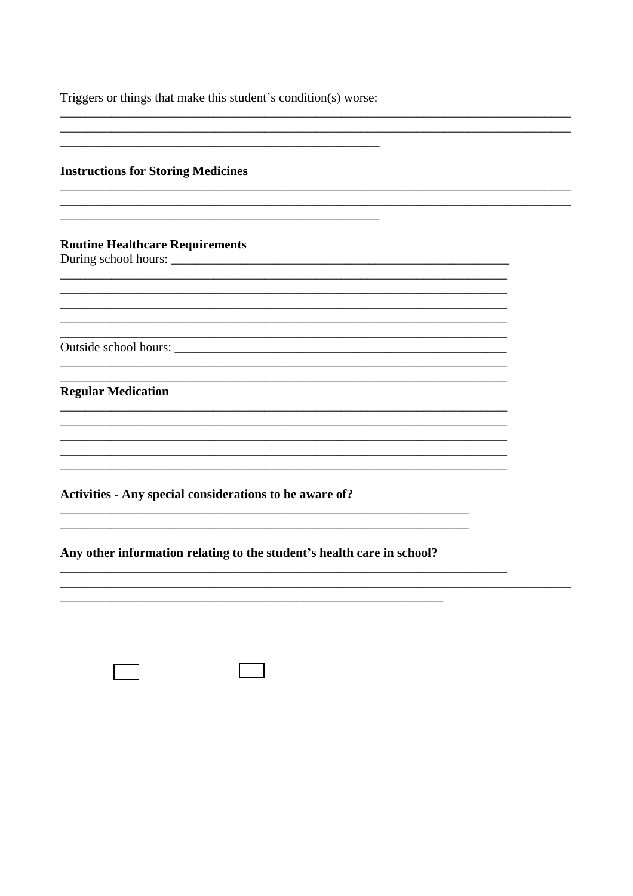Triggers or things that make this student's condition(s) worse:

#### **Instructions for Storing Medicines**

#### **Routine Healthcare Requirements**

During school hours:

Outside school hours:

#### **Regular Medication**

Activities - Any special considerations to be aware of?

Any other information relating to the student's health care in school?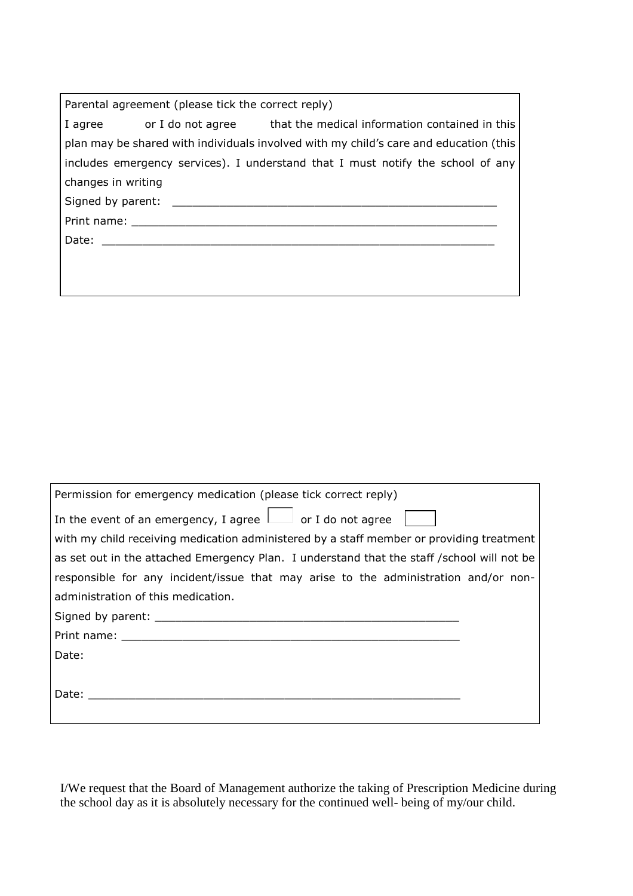| Parental agreement (please tick the correct reply)                                                                                                                                                                             |                                                                                                                                                                                                                                |                                                                          |  |  |  |  |  |
|--------------------------------------------------------------------------------------------------------------------------------------------------------------------------------------------------------------------------------|--------------------------------------------------------------------------------------------------------------------------------------------------------------------------------------------------------------------------------|--------------------------------------------------------------------------|--|--|--|--|--|
|                                                                                                                                                                                                                                |                                                                                                                                                                                                                                | I agree or I do not agree that the medical information contained in this |  |  |  |  |  |
| plan may be shared with individuals involved with my child's care and education (this                                                                                                                                          |                                                                                                                                                                                                                                |                                                                          |  |  |  |  |  |
| includes emergency services). I understand that I must notify the school of any                                                                                                                                                |                                                                                                                                                                                                                                |                                                                          |  |  |  |  |  |
| changes in writing                                                                                                                                                                                                             |                                                                                                                                                                                                                                |                                                                          |  |  |  |  |  |
|                                                                                                                                                                                                                                |                                                                                                                                                                                                                                |                                                                          |  |  |  |  |  |
| Print name: The contract of the contract of the contract of the contract of the contract of the contract of the contract of the contract of the contract of the contract of the contract of the contract of the contract of th |                                                                                                                                                                                                                                |                                                                          |  |  |  |  |  |
|                                                                                                                                                                                                                                | Date: the contract of the contract of the contract of the contract of the contract of the contract of the contract of the contract of the contract of the contract of the contract of the contract of the contract of the cont |                                                                          |  |  |  |  |  |
|                                                                                                                                                                                                                                |                                                                                                                                                                                                                                |                                                                          |  |  |  |  |  |
|                                                                                                                                                                                                                                |                                                                                                                                                                                                                                |                                                                          |  |  |  |  |  |

| Permission for emergency medication (please tick correct reply)                                                                                                                                                                |  |  |  |  |  |  |  |
|--------------------------------------------------------------------------------------------------------------------------------------------------------------------------------------------------------------------------------|--|--|--|--|--|--|--|
| In the event of an emergency, I agree $\Box$ or I do not agree                                                                                                                                                                 |  |  |  |  |  |  |  |
| with my child receiving medication administered by a staff member or providing treatment                                                                                                                                       |  |  |  |  |  |  |  |
| as set out in the attached Emergency Plan. I understand that the staff /school will not be                                                                                                                                     |  |  |  |  |  |  |  |
| responsible for any incident/issue that may arise to the administration and/or non-                                                                                                                                            |  |  |  |  |  |  |  |
| administration of this medication.                                                                                                                                                                                             |  |  |  |  |  |  |  |
|                                                                                                                                                                                                                                |  |  |  |  |  |  |  |
| Print name: The contract of the contract of the contract of the contract of the contract of the contract of the contract of the contract of the contract of the contract of the contract of the contract of the contract of th |  |  |  |  |  |  |  |
| Date:                                                                                                                                                                                                                          |  |  |  |  |  |  |  |
|                                                                                                                                                                                                                                |  |  |  |  |  |  |  |
| Date:                                                                                                                                                                                                                          |  |  |  |  |  |  |  |
|                                                                                                                                                                                                                                |  |  |  |  |  |  |  |

I/We request that the Board of Management authorize the taking of Prescription Medicine during the school day as it is absolutely necessary for the continued well- being of my/our child.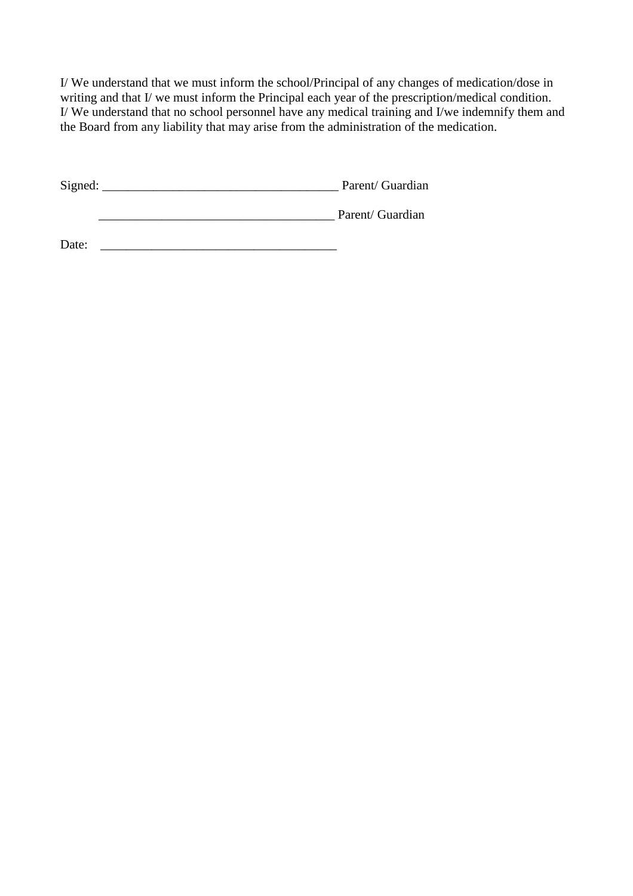I/ We understand that we must inform the school/Principal of any changes of medication/dose in writing and that I/ we must inform the Principal each year of the prescription/medical condition. I/ We understand that no school personnel have any medical training and I/we indemnify them and the Board from any liability that may arise from the administration of the medication.

Signed: \_\_\_\_\_\_\_\_\_\_\_\_\_\_\_\_\_\_\_\_\_\_\_\_\_\_\_\_\_\_\_\_\_\_\_\_\_ Parent/ Guardian

\_\_\_\_\_\_\_\_\_\_\_\_\_\_\_\_\_\_\_\_\_\_\_\_\_\_\_\_\_\_\_\_\_\_\_\_\_ Parent/ Guardian

Date: \_\_\_\_\_\_\_\_\_\_\_\_\_\_\_\_\_\_\_\_\_\_\_\_\_\_\_\_\_\_\_\_\_\_\_\_\_